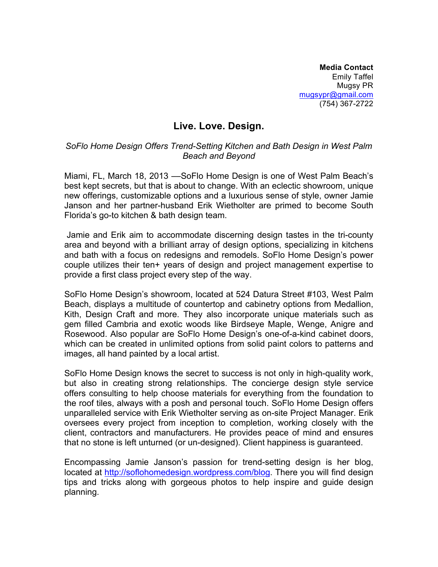**Media Contact** Emily Taffel Mugsy PR mugsypr@gmail.com (754) 367-2722

## **Live. Love. Design.**

## *SoFlo Home Design Offers Trend-Setting Kitchen and Bath Design in West Palm Beach and Beyond*

Miami, FL, March 18, 2013 ––SoFlo Home Design is one of West Palm Beach's best kept secrets, but that is about to change. With an eclectic showroom, unique new offerings, customizable options and a luxurious sense of style, owner Jamie Janson and her partner-husband Erik Wietholter are primed to become South Florida's go-to kitchen & bath design team.

 Jamie and Erik aim to accommodate discerning design tastes in the tri-county area and beyond with a brilliant array of design options, specializing in kitchens and bath with a focus on redesigns and remodels. SoFlo Home Design's power couple utilizes their ten+ years of design and project management expertise to provide a first class project every step of the way.

SoFlo Home Design's showroom, located at 524 Datura Street #103, West Palm Beach, displays a multitude of countertop and cabinetry options from Medallion, Kith, Design Craft and more. They also incorporate unique materials such as gem filled Cambria and exotic woods like Birdseye Maple, Wenge, Anigre and Rosewood. Also popular are SoFlo Home Design's one-of-a-kind cabinet doors, which can be created in unlimited options from solid paint colors to patterns and images, all hand painted by a local artist.

SoFlo Home Design knows the secret to success is not only in high-quality work, but also in creating strong relationships. The concierge design style service offers consulting to help choose materials for everything from the foundation to the roof tiles, always with a posh and personal touch. SoFlo Home Design offers unparalleled service with Erik Wietholter serving as on-site Project Manager. Erik oversees every project from inception to completion, working closely with the client, contractors and manufacturers. He provides peace of mind and ensures that no stone is left unturned (or un-designed). Client happiness is guaranteed.

Encompassing Jamie Janson's passion for trend-setting design is her blog, located at http://soflohomedesign.wordpress.com/blog. There you will find design tips and tricks along with gorgeous photos to help inspire and guide design planning.